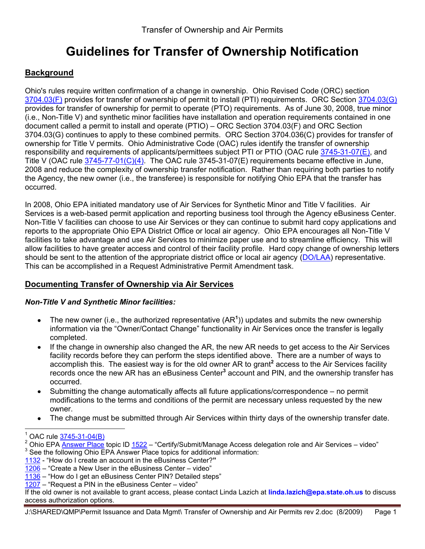# **Guidelines for Transfer of Ownership Notification**

## **Background**

Ohio's rules require written confirmation of a change in ownership. Ohio Revised Code (ORC) section [3704.03\(F\)](http://codes.ohio.gov/orc/3704.03) provides for transfer of ownership of permit to install (PTI) requirements. ORC Section [3704.03\(G\)](http://codes.ohio.gov/orc/3704.03) provides for transfer of ownership for permit to operate (PTO) requirements. As of June 30, 2008, true minor (i.e., Non-Title V) and synthetic minor facilities have installation and operation requirements contained in one document called a permit to install and operate (PTIO) – ORC Section 3704.03(F) and ORC Section 3704.03(G) continues to apply to these combined permits. ORC Section 3704.036(C) provides for transfer of ownership for Title V permits. Ohio Administrative Code (OAC) rules identify the transfer of ownership responsibility and requirements of applicants/permittees subject PTI or PTIO (OAC rule [3745-31-07\(E\),](http://www.epa.state.oh.us/dapc/regs/3745-31/3745-31-07f.pdf) and Title V (OAC rule  $3745-77-01(C)(4)$ . The OAC rule  $3745-31-07(E)$  requirements became effective in June, 2008 and reduce the complexity of ownership transfer notification. Rather than requiring both parties to notify the Agency, the new owner (i.e., the transferee) is responsible for notifying Ohio EPA that the transfer has occurred.

In 2008, Ohio EPA initiated mandatory use of Air Services for Synthetic Minor and Title V facilities. Air Services is a web-based permit application and reporting business tool through the Agency eBusiness Center. Non-Title V facilities can choose to use Air Services or they can continue to submit hard copy applications and reports to the appropriate Ohio EPA District Office or local air agency. Ohio EPA encourages all Non-Title V facilities to take advantage and use Air Services to minimize paper use and to streamline efficiency. This will allow facilities to have greater access and control of their facility profile. Hard copy change of ownership letters should be sent to the attention of the appropriate district office or local air agency [\(DO/LAA\)](http://www.epa.state.oh.us/dapc/general/dolaa.html) representative. This can be accomplished in a Request Administrative Permit Amendment task.

## **Documenting Transfer of Ownership via Air Services**

### *Non-Title V and Synthetic Minor facilities:*

- The new owner (i.e., the authorized representative (AR**<sup>1</sup>** )) updates and submits the new ownership information via the "[Owner/Contact Change](http://epatestapps.epa.state.oh.us/stars2/home.jsf)" functionality in Air Services once the transfer is legally completed.
- If the change in ownership also changed the AR, the new AR needs to get access to the Air Services facility records before they can perform the steps identified above. There are a number of ways to accomplish this. The easiest way is for the old owner AR to grant**<sup>2</sup>** access to the Air Services facility records once the new AR has an eBusiness Center**<sup>3</sup>** account and PIN, and the ownership transfer has occurred.
- Submitting the change automatically affects all future applications/correspondence no permit modifications to the terms and conditions of the permit are necessary unless requested by the new owner.
- The change must be submitted through Air Services within thirty days of the ownership transfer date.

 $\overline{a}$ 

[1207](http://ohioepa.custhelp.com/cgi-bin/ohioepa.cfg/php/enduser/std_adp.php?p_faqid=1207&p_created=1215453057&p_sid=Oeki*ZCj&p_accessibility=0&p_redirect=&p_lva=&p_sp=cF9zcmNoPTEmcF9zb3J0X2J5PSZwX2dyaWRzb3J0PSZwX3Jvd19jbnQ9MSwxJnBfcHJvZHM9JnBfY2F0cz0wJnBfcHY9J) – "Request a PIN in the eBusiness Center – video"

If the old owner is not available to grant access, please contact Linda Lazich at **[linda.lazich@epa.state.oh.us](mailto:linda.lazich@epa.state.oh.us)** to discuss access authorization options.

 $1$  OAC rule [3745-31-04\(B\)](http://www.epa.state.oh.us/dapc/regs/3745-31/3745-31-04f.pdf)

<sup>&</sup>lt;sup>2</sup> Ohio EPA [Answer Place](http://ohioepa.custhelp.com/cgi-bin/ohioepa.cfg/php/enduser/std_alp.php?p_sid=1_rkCUCj) topic ID  $1522$  – "Certify/Submit/Manage Access delegation role and Air Services – video" <sup>3</sup> See the following Ohio EPA Answer Place topics for additional information:

[<sup>1132</sup>](http://ohioepa.custhelp.com/cgi-bin/ohioepa.cfg/php/enduser/std_adp.php?p_faqid=1132&p_created=1210006411&p_sid=Oeki*ZCj&p_accessibility=0&p_redirect=&p_lva=&p_sp=cF9zcmNoPTEmcF9zb3J0X2J5PSZwX2dyaWRzb3J0PSZwX3Jvd19jbnQ9MSwxJnBfcHJvZHM9JnBfY2F0cz0wJnBfcHY9J) - "How do I create an account in the eBusiness Center?**"**

[<sup>1206</sup>](http://ohioepa.custhelp.com/cgi-bin/ohioepa.cfg/php/enduser/std_adp.php?p_faqid=1206&p_created=1215452971&p_sid=Oeki*ZCj&p_accessibility=0&p_redirect=&p_lva=&p_sp=cF9zcmNoPTEmcF9zb3J0X2J5PSZwX2dyaWRzb3J0PSZwX3Jvd19jbnQ9MSwxJnBfcHJvZHM9JnBfY2F0cz0wJnBfcHY9J) – "Create a New User in the eBusiness Center – video"

[<sup>1136</sup>](http://ohioepa.custhelp.com/cgi-bin/ohioepa.cfg/php/enduser/std_adp.php?p_faqid=1136&p_created=1210076376&p_sid=Oeki*ZCj&p_accessibility=0&p_redirect=&p_lva=&p_sp=cF9zcmNoPTEmcF9zb3J0X2J5PSZwX2dyaWRzb3J0PSZwX3Jvd19jbnQ9MSwxJnBfcHJvZHM9JnBfY2F0cz0wJnBfcHY9J) – "How do I get an eBusiness Center PIN? Detailed steps"